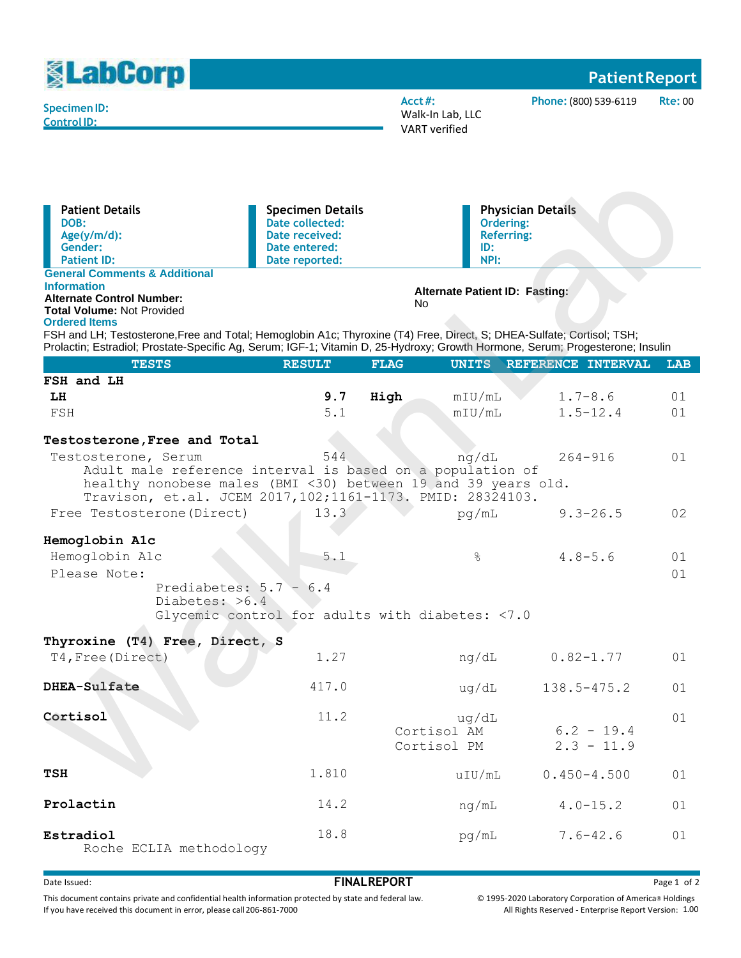| <b>ELabCorp</b>                                                                                                                                                                                                                                  |                                                                                                 |                                                                                                                                                                        |                                                                                  | <b>Patient Report</b>        |                |  |  |
|--------------------------------------------------------------------------------------------------------------------------------------------------------------------------------------------------------------------------------------------------|-------------------------------------------------------------------------------------------------|------------------------------------------------------------------------------------------------------------------------------------------------------------------------|----------------------------------------------------------------------------------|------------------------------|----------------|--|--|
| <b>Specimen ID:</b><br><b>Control ID:</b>                                                                                                                                                                                                        |                                                                                                 | $Acct$ #:                                                                                                                                                              | Walk-In Lab, LLC<br><b>VART</b> verified                                         | Phone: (800) 539-6119        | <b>Rte: 00</b> |  |  |
| <b>Patient Details</b><br>DOB:<br>$Age(y/m/d)$ :<br>Gender:<br><b>Patient ID:</b>                                                                                                                                                                | <b>Specimen Details</b><br>Date collected:<br>Date received:<br>Date entered:<br>Date reported: |                                                                                                                                                                        | <b>Physician Details</b><br><b>Ordering:</b><br><b>Referring:</b><br>ID:<br>NPI: |                              |                |  |  |
| <b>General Comments &amp; Additional</b><br><b>Information</b><br><b>Alternate Control Number:</b><br><b>Total Volume: Not Provided</b><br><b>Ordered Items</b>                                                                                  |                                                                                                 | <b>Alternate Patient ID: Fasting:</b><br>No.<br>FSH and LH; Testosterone, Free and Total; Hemoglobin A1c; Thyroxine (T4) Free, Direct, S; DHEA-Sulfate; Cortisol; TSH; |                                                                                  |                              |                |  |  |
| Prolactin; Estradiol; Prostate-Specific Ag, Serum; IGF-1; Vitamin D, 25-Hydroxy; Growth Hormone, Serum; Progesterone; Insulin                                                                                                                    |                                                                                                 |                                                                                                                                                                        |                                                                                  |                              |                |  |  |
| <b>TESTS</b><br>FSH and LH                                                                                                                                                                                                                       | <b>RESULT</b>                                                                                   | <b>FLAG</b>                                                                                                                                                            | <b>UNITS</b>                                                                     | REFERENCE INTERVAL           | <b>LAB</b>     |  |  |
| LH<br>FSH                                                                                                                                                                                                                                        | 9.7<br>5.1                                                                                      | High                                                                                                                                                                   | mIU/mL<br>mIU/mL                                                                 | $1.7 - 8.6$<br>$1.5 - 12.4$  | 01<br>01       |  |  |
| Testosterone, Free and Total<br>Testosterone, Serum<br>Adult male reference interval is based on a population of<br>healthy nonobese males (BMI <30) between 19 and 39 years old.<br>Travison, et.al. JCEM 2017, 102; 1161-1173. PMID: 28324103. | 544                                                                                             |                                                                                                                                                                        | nq/dL                                                                            | $264 - 916$                  | 01             |  |  |
| Free Testosterone (Direct)                                                                                                                                                                                                                       | 13.3                                                                                            |                                                                                                                                                                        | pq/mL                                                                            | $9.3 - 26.5$                 | 02             |  |  |
| Hemoglobin A1c<br>Hemoglobin Alc<br>Please Note:<br>Diabetes: >6.4                                                                                                                                                                               | 5.1<br>Prediabetes: $5.7 - 6.4$<br>Glycemic control for adults with diabetes: <7.0              |                                                                                                                                                                        | 옹                                                                                | $4.8 - 5.6$                  | 01<br>01       |  |  |
| Thyroxine (T4) Free, Direct, S                                                                                                                                                                                                                   |                                                                                                 |                                                                                                                                                                        |                                                                                  |                              |                |  |  |
| T4, Free (Direct)                                                                                                                                                                                                                                | 1.27                                                                                            |                                                                                                                                                                        | nq/dL                                                                            | $0.82 - 1.77$                | 01             |  |  |
| DHEA-Sulfate                                                                                                                                                                                                                                     | 417.0                                                                                           |                                                                                                                                                                        | uq/dL                                                                            | 138.5-475.2                  | 01             |  |  |
| Cortisol                                                                                                                                                                                                                                         | 11.2                                                                                            |                                                                                                                                                                        | uq/dL<br>Cortisol AM<br>Cortisol PM                                              | $6.2 - 19.4$<br>$2.3 - 11.9$ | 01             |  |  |
| <b>TSH</b>                                                                                                                                                                                                                                       | 1.810                                                                                           |                                                                                                                                                                        | uIU/mL                                                                           | $0.450 - 4.500$              | 01             |  |  |
| Prolactin                                                                                                                                                                                                                                        | 14.2                                                                                            |                                                                                                                                                                        | ng/mL                                                                            | $4.0 - 15.2$                 | 01             |  |  |
| Estradiol<br>Roche ECLIA methodology                                                                                                                                                                                                             | 18.8                                                                                            |                                                                                                                                                                        | pg/mL                                                                            | $7.6 - 42.6$                 | 01             |  |  |

## external of the Issued:<br> **FINALREPORT** Page 1 of 2

This document contains private and confidential health information protected by state and federal law. If you have received this document in error, please call206-861-7000

© 1995-2020 Laboratory Corporation of America® Holdings All Rights Reserved - Enterprise Report Version: 1.00